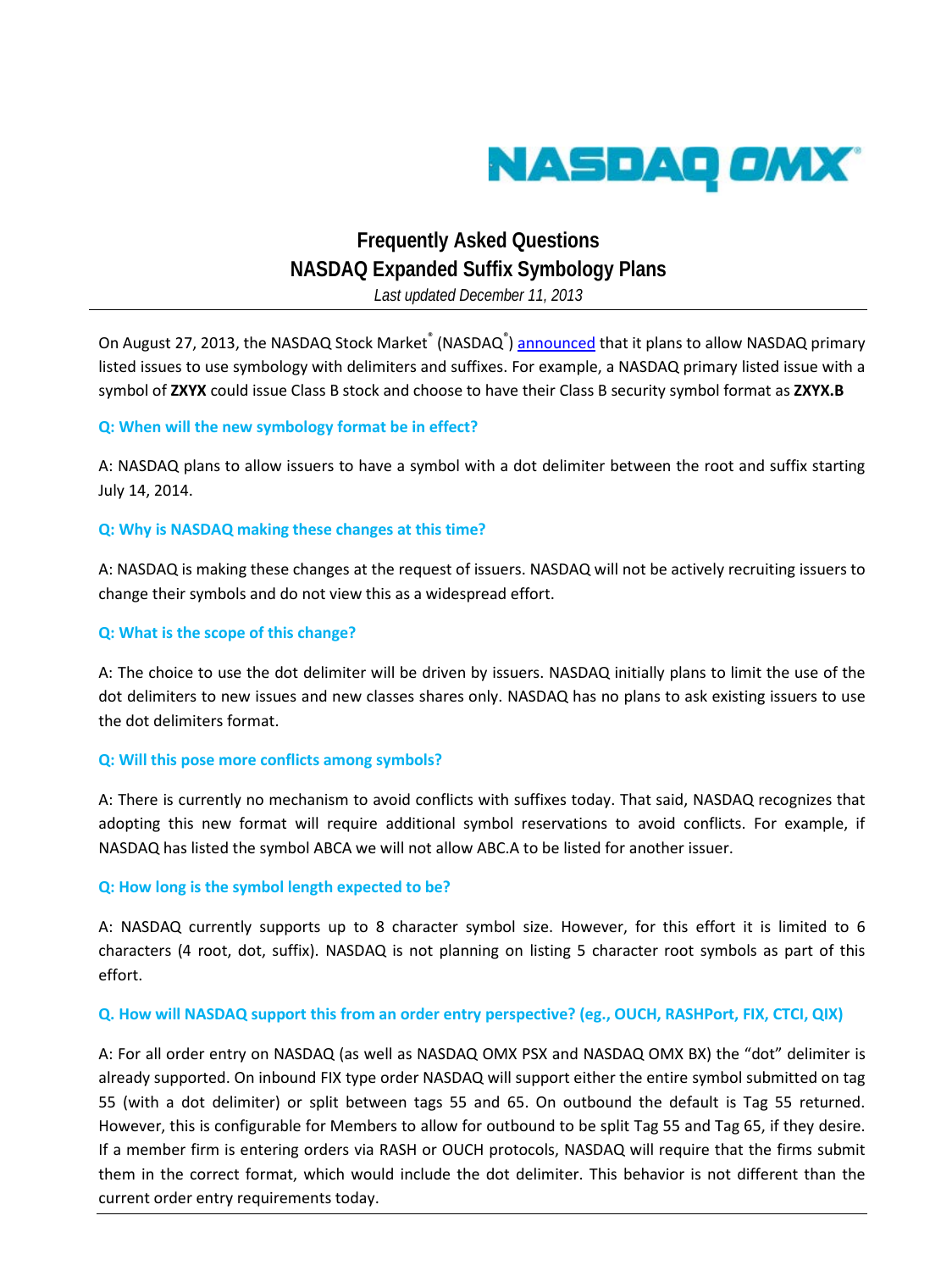

# **Frequently Asked Questions NASDAQ Expanded Suffix Symbology Plans**

*Last updated December 11, 2013*

On August 27, 2013, the NASDAQ Stock Market<sup>®</sup> (NASDAQ<sup>®</sup>) [announced](http://www.nasdaqtrader.com/TraderNews.aspx?id=ETA2013-79) that it plans to allow NASDAQ primary listed issues to use symbology with delimiters and suffixes. For example, a NASDAQ primary listed issue with a symbol of **ZXYX** could issue Class B stock and choose to have their Class B security symbol format as **ZXYX.B**

#### **Q: When will the new symbology format be in effect?**

A: NASDAQ plans to allow issuers to have a symbol with a dot delimiter between the root and suffix starting July 14, 2014.

#### **Q: Why is NASDAQ making these changes at this time?**

A: NASDAQ is making these changes at the request of issuers. NASDAQ will not be actively recruiting issuers to change their symbols and do not view this as a widespread effort.

#### **Q: What is the scope of this change?**

A: The choice to use the dot delimiter will be driven by issuers. NASDAQ initially plans to limit the use of the dot delimiters to new issues and new classes shares only. NASDAQ has no plans to ask existing issuers to use the dot delimiters format.

#### **Q: Will this pose more conflicts among symbols?**

A: There is currently no mechanism to avoid conflicts with suffixes today. That said, NASDAQ recognizes that adopting this new format will require additional symbol reservations to avoid conflicts. For example, if NASDAQ has listed the symbol ABCA we will not allow ABC.A to be listed for another issuer.

#### **Q: How long is the symbol length expected to be?**

A: NASDAQ currently supports up to 8 character symbol size. However, for this effort it is limited to 6 characters (4 root, dot, suffix). NASDAQ is not planning on listing 5 character root symbols as part of this effort.

# **Q. How will NASDAQ support this from an order entry perspective? (eg., OUCH, RASHPort, FIX, CTCI, QIX)**

A: For all order entry on NASDAQ (as well as NASDAQ OMX PSX and NASDAQ OMX BX) the "dot" delimiter is already supported. On inbound FIX type order NASDAQ will support either the entire symbol submitted on tag 55 (with a dot delimiter) or split between tags 55 and 65. On outbound the default is Tag 55 returned. However, this is configurable for Members to allow for outbound to be split Tag 55 and Tag 65, if they desire. If a member firm is entering orders via RASH or OUCH protocols, NASDAQ will require that the firms submit them in the correct format, which would include the dot delimiter. This behavior is not different than the current order entry requirements today.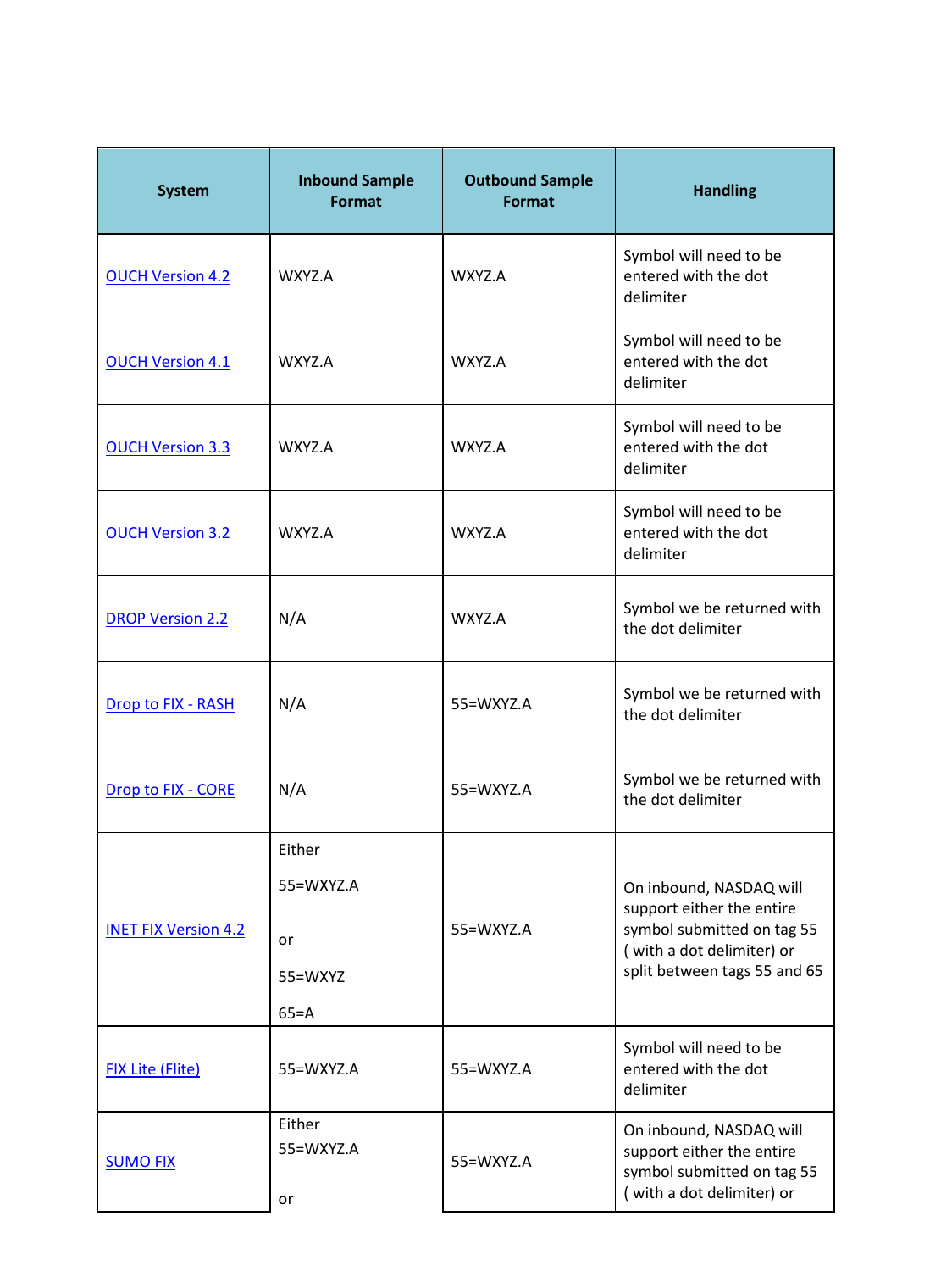| <b>System</b>               | <b>Inbound Sample</b><br>Format | <b>Outbound Sample</b><br>Format | <b>Handling</b>                                                                                                                                 |
|-----------------------------|---------------------------------|----------------------------------|-------------------------------------------------------------------------------------------------------------------------------------------------|
| <b>OUCH Version 4.2</b>     | WXYZ.A                          | WXYZ.A                           | Symbol will need to be<br>entered with the dot<br>delimiter                                                                                     |
| <b>OUCH Version 4.1</b>     | WXY7.A                          | WXYZ.A                           | Symbol will need to be<br>entered with the dot<br>delimiter                                                                                     |
| <b>OUCH Version 3.3</b>     | WXYZ.A                          | WXYZ.A                           | Symbol will need to be<br>entered with the dot<br>delimiter                                                                                     |
| <b>OUCH Version 3.2</b>     | WXYZ.A                          | WXYZ.A                           | Symbol will need to be<br>entered with the dot<br>delimiter                                                                                     |
| <b>DROP Version 2.2</b>     | N/A                             | WXYZ.A                           | Symbol we be returned with<br>the dot delimiter                                                                                                 |
| Drop to FIX - RASH          | N/A                             | 55=WXYZ.A                        | Symbol we be returned with<br>the dot delimiter                                                                                                 |
| Drop to FIX - CORE          | N/A                             | 55=WXYZ.A                        | Symbol we be returned with<br>the dot delimiter                                                                                                 |
| <b>INET FIX Version 4.2</b> | Either                          | 55=WXYZ.A                        | On inbound, NASDAQ will<br>support either the entire<br>symbol submitted on tag 55<br>(with a dot delimiter) or<br>split between tags 55 and 65 |
|                             | 55=WXYZ.A                       |                                  |                                                                                                                                                 |
|                             | or                              |                                  |                                                                                                                                                 |
|                             | 55=WXYZ                         |                                  |                                                                                                                                                 |
|                             | $65 = A$                        |                                  |                                                                                                                                                 |
| <b>FIX Lite (Flite)</b>     | 55=WXYZ.A                       | 55=WXYZ.A                        | Symbol will need to be<br>entered with the dot<br>delimiter                                                                                     |
| <b>SUMO FIX</b>             | Either<br>55=WXYZ.A<br>or       | 55=WXYZ.A                        | On inbound, NASDAQ will<br>support either the entire<br>symbol submitted on tag 55<br>(with a dot delimiter) or                                 |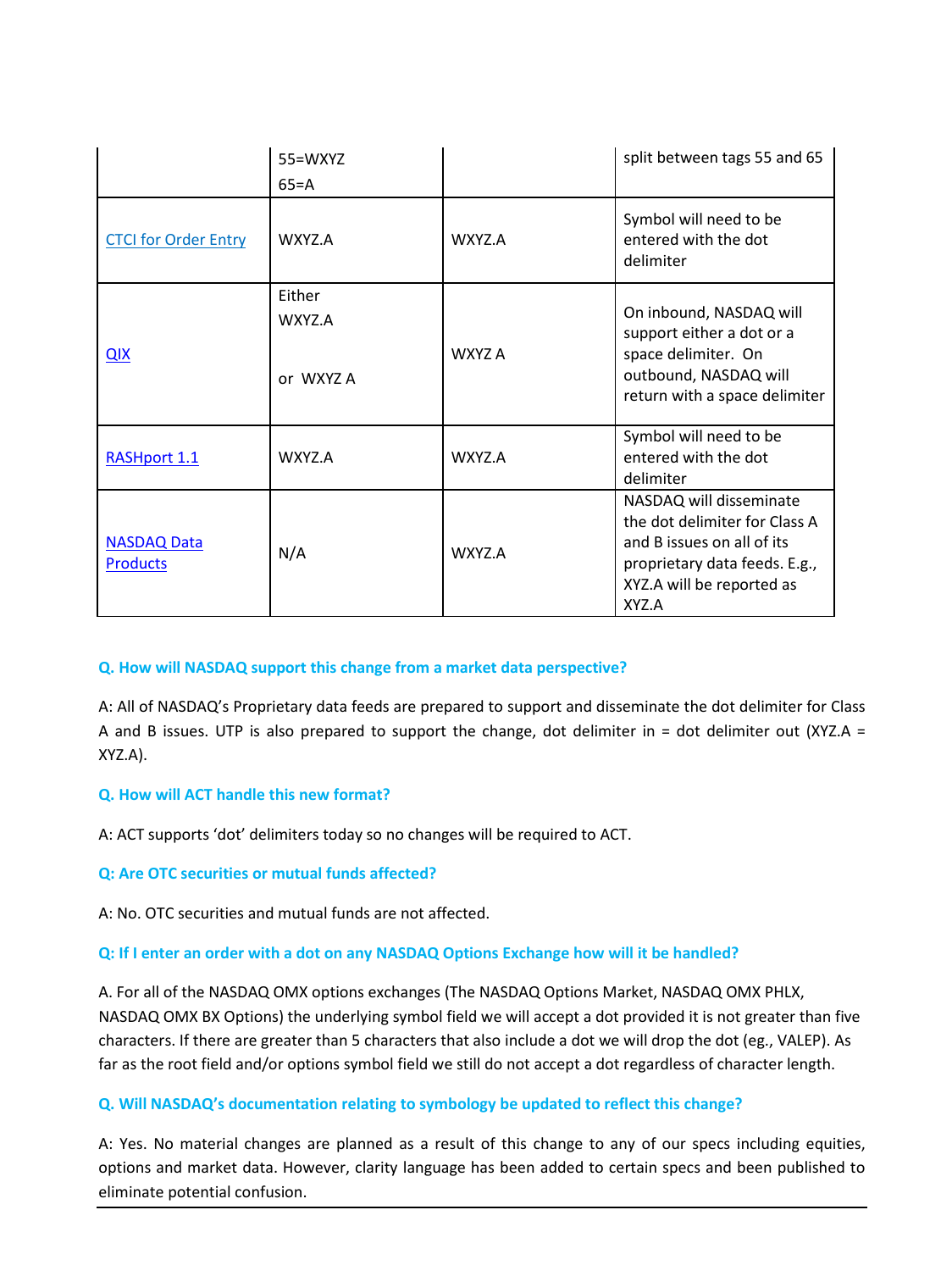|                                       | 55=WXYZ                       |        | split between tags 55 and 65                                                                                                                                  |
|---------------------------------------|-------------------------------|--------|---------------------------------------------------------------------------------------------------------------------------------------------------------------|
|                                       | $65 = A$                      |        |                                                                                                                                                               |
| <b>CTCI for Order Entry</b>           | WXYZ.A                        | WXYZ.A | Symbol will need to be<br>entered with the dot<br>delimiter                                                                                                   |
| QIX                                   | Either<br>WXYZ.A<br>or WXYZ A | WXYZ A | On inbound, NASDAQ will<br>support either a dot or a<br>space delimiter. On<br>outbound, NASDAQ will<br>return with a space delimiter                         |
| <b>RASHport 1.1</b>                   | WXYZ.A                        | WXYZ.A | Symbol will need to be<br>entered with the dot<br>delimiter                                                                                                   |
| <b>NASDAQ Data</b><br><b>Products</b> | N/A                           | WXYZ.A | NASDAQ will disseminate<br>the dot delimiter for Class A<br>and B issues on all of its<br>proprietary data feeds. E.g.,<br>XYZ.A will be reported as<br>XYZ.A |

# **Q. How will NASDAQ support this change from a market data perspective?**

A: All of NASDAQ's Proprietary data feeds are prepared to support and disseminate the dot delimiter for Class A and B issues. UTP is also prepared to support the change, dot delimiter in = dot delimiter out (XYZ.A = XYZ.A).

# **Q. How will ACT handle this new format?**

A: ACT supports 'dot' delimiters today so no changes will be required to ACT.

# **Q: Are OTC securities or mutual funds affected?**

A: No. OTC securities and mutual funds are not affected.

# **Q: If I enter an order with a dot on any NASDAQ Options Exchange how will it be handled?**

A. For all of the NASDAQ OMX options exchanges (The NASDAQ Options Market, NASDAQ OMX PHLX, NASDAQ OMX BX Options) the underlying symbol field we will accept a dot provided it is not greater than five characters. If there are greater than 5 characters that also include a dot we will drop the dot (eg., VALEP). As far as the root field and/or options symbol field we still do not accept a dot regardless of character length.

# **Q. Will NASDAQ's documentation relating to symbology be updated to reflect this change?**

A: Yes. No material changes are planned as a result of this change to any of our specs including equities, options and market data. However, clarity language has been added to certain specs and been published to eliminate potential confusion.